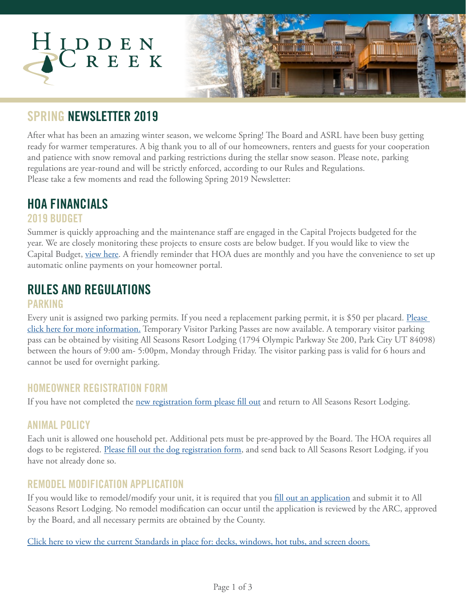

### **SPRING NEWSLETTER 2019**

After what has been an amazing winter season, we welcome Spring! The Board and ASRL have been busy getting ready for warmer temperatures. A big thank you to all of our homeowners, renters and guests for your cooperation and patience with snow removal and parking restrictions during the stellar snow season. Please note, parking regulations are year-round and will be strictly enforced, according to our Rules and Regulations. Please take a few moments and read the following Spring 2019 Newsletter:

# **HOA FINANCIALS**

#### **2019 BUDGET**

Summer is quickly approaching and the maintenance staff are engaged in the Capital Projects budgeted for the year. We are closely monitoring these projects to ensure costs are below budget. If you would like to view the Capital Budget, [view here.](https://www.allseasonsresortlodging.com/wp-content/uploads/2019/04/2019-Hidden-Creek-Operating-and-Capital-Budget.pdf) A friendly reminder that HOA dues are monthly and you have the convenience to set up automatic online payments on your homeowner portal.

### **RULES AND REGULATIONS**

#### **PARKING**

Every unit is assigned two parking permits. If you need a replacement parking permit, it is \$50 per placard. Please [click here for more information](https://www.dropbox.com/s/xl22t9oomvov9bk/Parking%20Pass%20Distribution%20Processes%20and%20Policies%202019.pdf?dl=0). Temporary Visitor Parking Passes are now available. A temporary visitor parking pass can be obtained by visiting All Seasons Resort Lodging (1794 Olympic Parkway Ste 200, Park City UT 84098) between the hours of 9:00 am- 5:00pm, Monday through Friday. The visitor parking pass is valid for 6 hours and cannot be used for overnight parking.

#### **HOMEOWNER REGISTRATION FORM**

If you have not completed the [new registration form please fill out](https://www.allseasonsresortlodging.com/wp-content/uploads/2019/02/2019-Owner-Registration-Form.pdf) and return to All Seasons Resort Lodging.

### **ANIMAL POLICY**

Each unit is allowed one household pet. Additional pets must be pre-approved by the Board. The HOA requires all dogs to be registered. [Please fill out the dog registration form](https://www.allseasonsresortlodging.com/wp-content/uploads/2019/02/Hidden-Creek-Dog-Registration-9.20.2018.pdf), and send back to All Seasons Resort Lodging, if you have not already done so.

### **REMODEL MODIFICATION APPLICATION**

If you would like to remodel/modify your unit, it is required that you [fill out an application](https://www.allseasonsresortlodging.com/wp-content/uploads/2019/05/Remodel-Modification-Application.pdf) and submit it to All Seasons Resort Lodging. No remodel modification can occur until the application is reviewed by the ARC, approved by the Board, and all necessary permits are obtained by the County.

[Click here to view the current Standards in place for: decks, windows, hot tubs, and screen doors.](https://www.allseasonsresortlodging.com/hoa/hidden-creek/)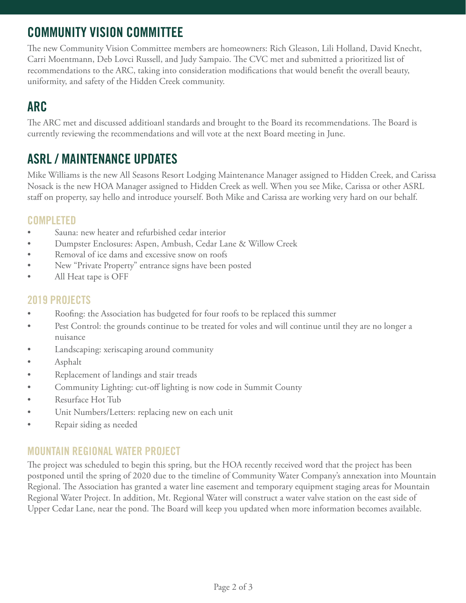## **COMMUNITY VISION COMMITTEE**

The new Community Vision Committee members are homeowners: Rich Gleason, Lili Holland, David Knecht, Carri Moentmann, Deb Lovci Russell, and Judy Sampaio. The CVC met and submitted a prioritized list of recommendations to the ARC, taking into consideration modifications that would benefit the overall beauty, uniformity, and safety of the Hidden Creek community.

## **ARC**

The ARC met and discussed additioanl standards and brought to the Board its recommendations. The Board is currently reviewing the recommendations and will vote at the next Board meeting in June.

### **ASRL / MAINTENANCE UPDATES**

Mike Williams is the new All Seasons Resort Lodging Maintenance Manager assigned to Hidden Creek, and Carissa Nosack is the new HOA Manager assigned to Hidden Creek as well. When you see Mike, Carissa or other ASRL staff on property, say hello and introduce yourself. Both Mike and Carissa are working very hard on our behalf.

### **COMPLETED**

- Sauna: new heater and refurbished cedar interior
- Dumpster Enclosures: Aspen, Ambush, Cedar Lane & Willow Creek
- Removal of ice dams and excessive snow on roofs
- New "Private Property" entrance signs have been posted
- All Heat tape is OFF

#### **2019 PROJECTS**

- Roofing: the Association has budgeted for four roofs to be replaced this summer
- Pest Control: the grounds continue to be treated for voles and will continue until they are no longer a nuisance
- Landscaping: xeriscaping around community
- Asphalt
- Replacement of landings and stair treads
- Community Lighting: cut-off lighting is now code in Summit County
- Resurface Hot Tub
- Unit Numbers/Letters: replacing new on each unit
- Repair siding as needed

### **MOUNTAIN REGIONAL WATER PROJECT**

The project was scheduled to begin this spring, but the HOA recently received word that the project has been postponed until the spring of 2020 due to the timeline of Community Water Company's annexation into Mountain Regional. The Association has granted a water line easement and temporary equipment staging areas for Mountain Regional Water Project. In addition, Mt. Regional Water will construct a water valve station on the east side of Upper Cedar Lane, near the pond. The Board will keep you updated when more information becomes available.